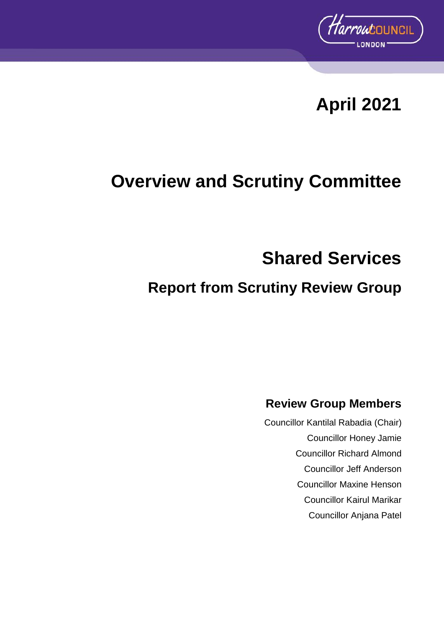

## **April 2021**

# **Overview and Scrutiny Committee**

## **Shared Services**

## **Report from Scrutiny Review Group**

## **Review Group Members**

Councillor Kantilal Rabadia (Chair) Councillor Honey Jamie Councillor Richard Almond Councillor Jeff Anderson Councillor Maxine Henson Councillor Kairul Marikar Councillor Anjana Patel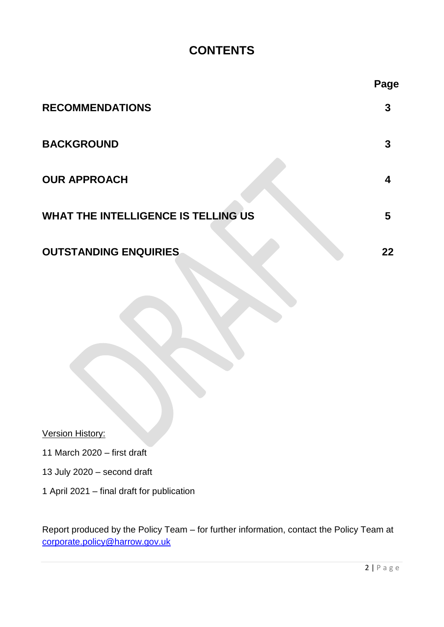## **CONTENTS**

|                                            | Page |
|--------------------------------------------|------|
| <b>RECOMMENDATIONS</b>                     | 3    |
| <b>BACKGROUND</b>                          | 3    |
| <b>OUR APPROACH</b>                        |      |
| <b>WHAT THE INTELLIGENCE IS TELLING US</b> | 5    |
| <b>OUTSTANDING ENQUIRIES</b>               | 22   |

Version History:

11 March 2020 – first draft

13 July 2020 – second draft

1 April 2021 – final draft for publication

Report produced by the Policy Team – for further information, contact the Policy Team at [corporate.policy@harrow.gov.uk](mailto:corporate.policy@harrow.gov.uk)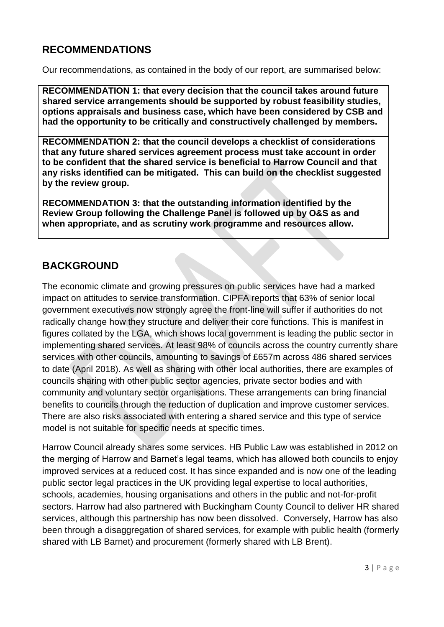### **RECOMMENDATIONS**

Our recommendations, as contained in the body of our report, are summarised below:

**RECOMMENDATION 1: that every decision that the council takes around future shared service arrangements should be supported by robust feasibility studies, options appraisals and business case, which have been considered by CSB and had the opportunity to be critically and constructively challenged by members.**

**RECOMMENDATION 2: that the council develops a checklist of considerations that any future shared services agreement process must take account in order to be confident that the shared service is beneficial to Harrow Council and that any risks identified can be mitigated. This can build on the checklist suggested by the review group.**

**RECOMMENDATION 3: that the outstanding information identified by the Review Group following the Challenge Panel is followed up by O&S as and when appropriate, and as scrutiny work programme and resources allow.**

## **BACKGROUND**

The economic climate and growing pressures on public services have had a marked impact on attitudes to service transformation. CIPFA reports that 63% of senior local government executives now strongly agree the front-line will suffer if authorities do not radically change how they structure and deliver their core functions. This is manifest in figures collated by the LGA, which shows local government is leading the public sector in implementing shared services. At least 98% of councils across the country currently share services with other councils, amounting to savings of £657m across 486 shared services to date (April 2018). As well as sharing with other local authorities, there are examples of councils sharing with other public sector agencies, private sector bodies and with community and voluntary sector organisations. These arrangements can bring financial benefits to councils through the reduction of duplication and improve customer services. There are also risks associated with entering a shared service and this type of service model is not suitable for specific needs at specific times.

Harrow Council already shares some services. HB Public Law was established in 2012 on the merging of Harrow and Barnet's legal teams, which has allowed both councils to enjoy improved services at a reduced cost. It has since expanded and is now one of the leading public sector legal practices in the UK providing legal expertise to local authorities, schools, academies, housing organisations and others in the public and not-for-profit sectors. Harrow had also partnered with Buckingham County Council to deliver HR shared services, although this partnership has now been dissolved. Conversely, Harrow has also been through a disaggregation of shared services, for example with public health (formerly shared with LB Barnet) and procurement (formerly shared with LB Brent).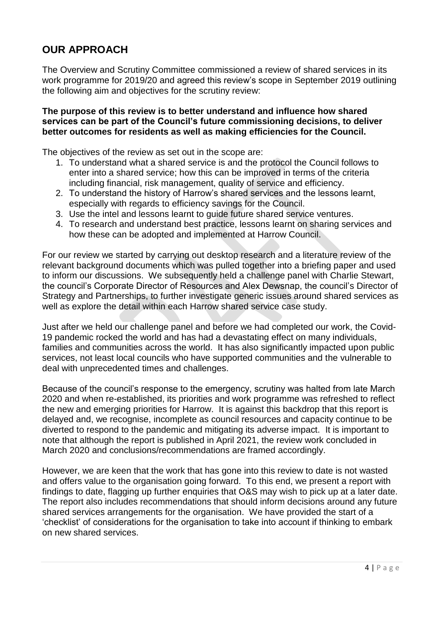### **OUR APPROACH**

The Overview and Scrutiny Committee commissioned a review of shared services in its work programme for 2019/20 and agreed this review's scope in September 2019 outlining the following aim and objectives for the scrutiny review:

#### **The purpose of this review is to better understand and influence how shared services can be part of the Council's future commissioning decisions, to deliver better outcomes for residents as well as making efficiencies for the Council.**

The objectives of the review as set out in the scope are:

- 1. To understand what a shared service is and the protocol the Council follows to enter into a shared service; how this can be improved in terms of the criteria including financial, risk management, quality of service and efficiency.
- 2. To understand the history of Harrow's shared services and the lessons learnt, especially with regards to efficiency savings for the Council.
- 3. Use the intel and lessons learnt to guide future shared service ventures.
- 4. To research and understand best practice, lessons learnt on sharing services and how these can be adopted and implemented at Harrow Council.

For our review we started by carrying out desktop research and a literature review of the relevant background documents which was pulled together into a briefing paper and used to inform our discussions. We subsequently held a challenge panel with Charlie Stewart, the council's Corporate Director of Resources and Alex Dewsnap, the council's Director of Strategy and Partnerships, to further investigate generic issues around shared services as well as explore the detail within each Harrow shared service case study.

Just after we held our challenge panel and before we had completed our work, the Covid-19 pandemic rocked the world and has had a devastating effect on many individuals, families and communities across the world. It has also significantly impacted upon public services, not least local councils who have supported communities and the vulnerable to deal with unprecedented times and challenges.

Because of the council's response to the emergency, scrutiny was halted from late March 2020 and when re-established, its priorities and work programme was refreshed to reflect the new and emerging priorities for Harrow. It is against this backdrop that this report is delayed and, we recognise, incomplete as council resources and capacity continue to be diverted to respond to the pandemic and mitigating its adverse impact. It is important to note that although the report is published in April 2021, the review work concluded in March 2020 and conclusions/recommendations are framed accordingly.

However, we are keen that the work that has gone into this review to date is not wasted and offers value to the organisation going forward. To this end, we present a report with findings to date, flagging up further enquiries that O&S may wish to pick up at a later date. The report also includes recommendations that should inform decisions around any future shared services arrangements for the organisation. We have provided the start of a 'checklist' of considerations for the organisation to take into account if thinking to embark on new shared services.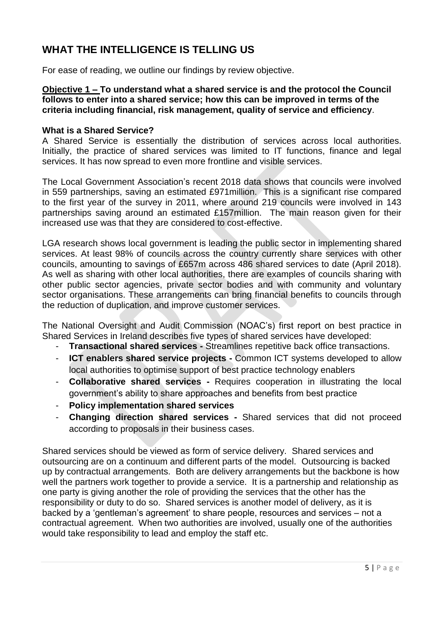## **WHAT THE INTELLIGENCE IS TELLING US**

For ease of reading, we outline our findings by review objective.

**Objective 1 – To understand what a shared service is and the protocol the Council follows to enter into a shared service; how this can be improved in terms of the criteria including financial, risk management, quality of service and efficiency**.

#### **What is a Shared Service?**

A Shared Service is essentially the distribution of services across local authorities. Initially, the practice of shared services was limited to IT functions, finance and legal services. It has now spread to even more frontline and visible services.

The Local Government Association's recent 2018 data shows that councils were involved in 559 partnerships, saving an estimated £971million. This is a significant rise compared to the first year of the survey in 2011, where around 219 councils were involved in 143 partnerships saving around an estimated £157million. The main reason given for their increased use was that they are considered to cost-effective.

LGA research shows local government is leading the public sector in implementing shared services. At least 98% of councils across the country currently share services with other councils, amounting to savings of £657m across 486 shared services to date (April 2018). As well as sharing with other local authorities, there are examples of councils sharing with other public sector agencies, private sector bodies and with community and voluntary sector organisations. These arrangements can bring financial benefits to councils through the reduction of duplication, and improve customer services.

The National Oversight and Audit Commission (NOAC's) first report on best practice in Shared Services in Ireland describes five types of shared services have developed:

- **Transactional shared services -** Streamlines repetitive back office transactions.
- **ICT enablers shared service projects Common ICT systems developed to allow** local authorities to optimise support of best practice technology enablers
- **Collaborative shared services -** Requires cooperation in illustrating the local government's ability to share approaches and benefits from best practice
- **Policy implementation shared services**
- **Changing direction shared services -** Shared services that did not proceed according to proposals in their business cases.

Shared services should be viewed as form of service delivery. Shared services and outsourcing are on a continuum and different parts of the model. Outsourcing is backed up by contractual arrangements. Both are delivery arrangements but the backbone is how well the partners work together to provide a service. It is a partnership and relationship as one party is giving another the role of providing the services that the other has the responsibility or duty to do so. Shared services is another model of delivery, as it is backed by a 'gentleman's agreement' to share people, resources and services – not a contractual agreement. When two authorities are involved, usually one of the authorities would take responsibility to lead and employ the staff etc.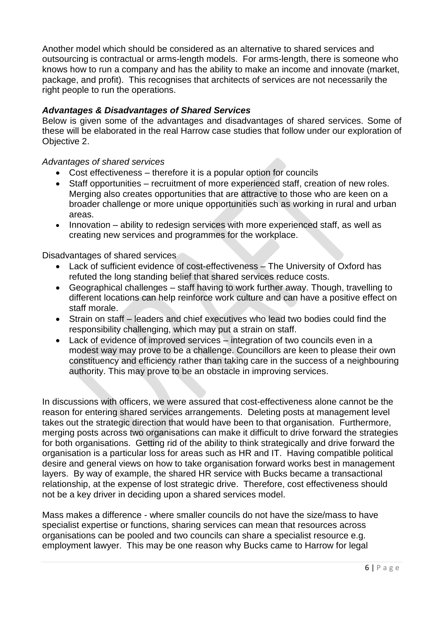Another model which should be considered as an alternative to shared services and outsourcing is contractual or arms-length models. For arms-length, there is someone who knows how to run a company and has the ability to make an income and innovate (market, package, and profit). This recognises that architects of services are not necessarily the right people to run the operations.

#### *Advantages & Disadvantages of Shared Services*

Below is given some of the advantages and disadvantages of shared services. Some of these will be elaborated in the real Harrow case studies that follow under our exploration of Objective 2.

#### *Advantages of shared services*

- Cost effectiveness therefore it is a popular option for councils
- Staff opportunities recruitment of more experienced staff, creation of new roles. Merging also creates opportunities that are attractive to those who are keen on a broader challenge or more unique opportunities such as working in rural and urban areas.
- Innovation ability to redesign services with more experienced staff, as well as creating new services and programmes for the workplace.

Disadvantages of shared services

- Lack of sufficient evidence of cost-effectiveness The University of Oxford has refuted the long standing belief that shared services reduce costs.
- Geographical challenges staff having to work further away. Though, travelling to different locations can help reinforce work culture and can have a positive effect on staff morale.
- Strain on staff leaders and chief executives who lead two bodies could find the responsibility challenging, which may put a strain on staff.
- Lack of evidence of improved services integration of two councils even in a modest way may prove to be a challenge. Councillors are keen to please their own constituency and efficiency rather than taking care in the success of a neighbouring authority. This may prove to be an obstacle in improving services.

In discussions with officers, we were assured that cost-effectiveness alone cannot be the reason for entering shared services arrangements. Deleting posts at management level takes out the strategic direction that would have been to that organisation. Furthermore, merging posts across two organisations can make it difficult to drive forward the strategies for both organisations. Getting rid of the ability to think strategically and drive forward the organisation is a particular loss for areas such as HR and IT. Having compatible political desire and general views on how to take organisation forward works best in management layers. By way of example, the shared HR service with Bucks became a transactional relationship, at the expense of lost strategic drive. Therefore, cost effectiveness should not be a key driver in deciding upon a shared services model.

Mass makes a difference - where smaller councils do not have the size/mass to have specialist expertise or functions, sharing services can mean that resources across organisations can be pooled and two councils can share a specialist resource e.g. employment lawyer. This may be one reason why Bucks came to Harrow for legal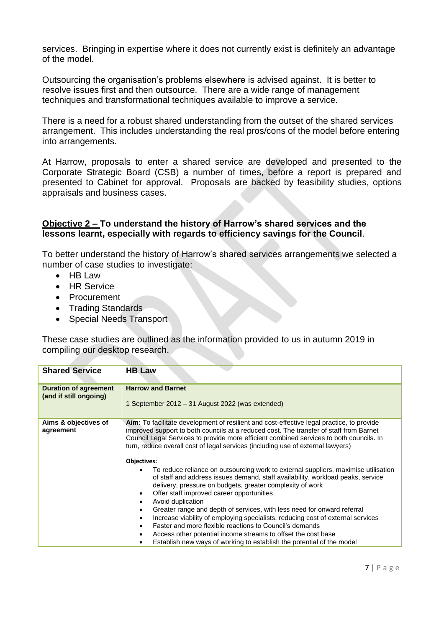services. Bringing in expertise where it does not currently exist is definitely an advantage of the model.

Outsourcing the organisation's problems elsewhere is advised against. It is better to resolve issues first and then outsource. There are a wide range of management techniques and transformational techniques available to improve a service.

There is a need for a robust shared understanding from the outset of the shared services arrangement. This includes understanding the real pros/cons of the model before entering into arrangements.

At Harrow, proposals to enter a shared service are developed and presented to the Corporate Strategic Board (CSB) a number of times, before a report is prepared and presented to Cabinet for approval. Proposals are backed by feasibility studies, options appraisals and business cases.

#### **Objective 2 – To understand the history of Harrow's shared services and the lessons learnt, especially with regards to efficiency savings for the Council**.

To better understand the history of Harrow's shared services arrangements we selected a number of case studies to investigate:

- HB Law
- HR Service
- Procurement
- Trading Standards
- Special Needs Transport

These case studies are outlined as the information provided to us in autumn 2019 in compiling our desktop research.

| <b>Shared Service</b>                                  | <b>HB Law</b>                                                                                                                                                                                                                                                                                                                                                                                                                                                                                                                                                                                                                                                                                                                                                                                                                                                                                                                                                                                                                                                                                       |
|--------------------------------------------------------|-----------------------------------------------------------------------------------------------------------------------------------------------------------------------------------------------------------------------------------------------------------------------------------------------------------------------------------------------------------------------------------------------------------------------------------------------------------------------------------------------------------------------------------------------------------------------------------------------------------------------------------------------------------------------------------------------------------------------------------------------------------------------------------------------------------------------------------------------------------------------------------------------------------------------------------------------------------------------------------------------------------------------------------------------------------------------------------------------------|
| <b>Duration of agreement</b><br>(and if still ongoing) | <b>Harrow and Barnet</b><br>1 September 2012 - 31 August 2022 (was extended)                                                                                                                                                                                                                                                                                                                                                                                                                                                                                                                                                                                                                                                                                                                                                                                                                                                                                                                                                                                                                        |
| Aims & objectives of<br>agreement                      | <b>Aim:</b> To facilitate development of resilient and cost-effective legal practice, to provide<br>improved support to both councils at a reduced cost. The transfer of staff from Barnet<br>Council Legal Services to provide more efficient combined services to both councils. In<br>turn, reduce overall cost of legal services (including use of external lawyers)<br><b>Objectives:</b><br>To reduce reliance on outsourcing work to external suppliers, maximise utilisation<br>of staff and address issues demand, staff availability, workload peaks, service<br>delivery, pressure on budgets, greater complexity of work<br>Offer staff improved career opportunities<br>Avoid duplication<br>Greater range and depth of services, with less need for onward referral<br>$\bullet$<br>Increase viability of employing specialists, reducing cost of external services<br>$\bullet$<br>Faster and more flexible reactions to Council's demands<br>Access other potential income streams to offset the cost base<br>Establish new ways of working to establish the potential of the model |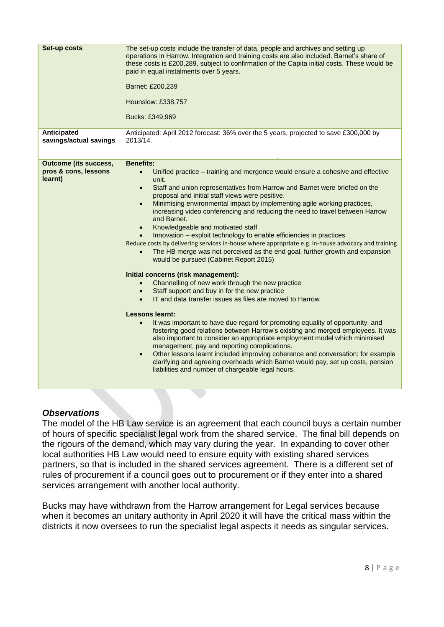| Set-up costs                                                    | The set-up costs include the transfer of data, people and archives and setting up<br>operations in Harrow. Integration and training costs are also included. Barnet's share of<br>these costs is £200,289, subject to confirmation of the Capita initial costs. These would be<br>paid in equal instalments over 5 years.<br>Barnet: £200,239<br>Hounslow: £338,757<br>Bucks: £349,969                                                                                                                                                                                                                                                                                                                                                                                                                                                                                                                                                                                                                                                                                                                                                                                                                                                                                                                                                                                                                                                                                                                                                                                                                                                                                |
|-----------------------------------------------------------------|-----------------------------------------------------------------------------------------------------------------------------------------------------------------------------------------------------------------------------------------------------------------------------------------------------------------------------------------------------------------------------------------------------------------------------------------------------------------------------------------------------------------------------------------------------------------------------------------------------------------------------------------------------------------------------------------------------------------------------------------------------------------------------------------------------------------------------------------------------------------------------------------------------------------------------------------------------------------------------------------------------------------------------------------------------------------------------------------------------------------------------------------------------------------------------------------------------------------------------------------------------------------------------------------------------------------------------------------------------------------------------------------------------------------------------------------------------------------------------------------------------------------------------------------------------------------------------------------------------------------------------------------------------------------------|
| <b>Anticipated</b><br>savings/actual savings                    | Anticipated: April 2012 forecast: 36% over the 5 years, projected to save £300,000 by<br>2013/14.                                                                                                                                                                                                                                                                                                                                                                                                                                                                                                                                                                                                                                                                                                                                                                                                                                                                                                                                                                                                                                                                                                                                                                                                                                                                                                                                                                                                                                                                                                                                                                     |
| <b>Outcome (its success,</b><br>pros & cons, lessons<br>learnt) | <b>Benefits:</b><br>Unified practice - training and mergence would ensure a cohesive and effective<br>$\bullet$<br>unit.<br>Staff and union representatives from Harrow and Barnet were briefed on the<br>$\bullet$<br>proposal and initial staff views were positive.<br>Minimising environmental impact by implementing agile working practices,<br>$\bullet$<br>increasing video conferencing and reducing the need to travel between Harrow<br>and Barnet.<br>Knowledgeable and motivated staff<br>$\bullet$<br>Innovation - exploit technology to enable efficiencies in practices<br>$\bullet$<br>Reduce costs by delivering services in-house where appropriate e.g. in-house advocacy and training<br>The HB merge was not perceived as the end goal, further growth and expansion<br>$\bullet$<br>would be pursued (Cabinet Report 2015)<br>Initial concerns (risk management):<br>Channelling of new work through the new practice<br>$\bullet$<br>Staff support and buy in for the new practice<br>$\bullet$<br>IT and data transfer issues as files are moved to Harrow<br><b>Lessons learnt:</b><br>It was important to have due regard for promoting equality of opportunity, and<br>$\bullet$<br>fostering good relations between Harrow's existing and merged employees. It was<br>also important to consider an appropriate employment model which minimised<br>management, pay and reporting complications.<br>Other lessons learnt included improving coherence and conversation: for example<br>$\bullet$<br>clarifying and agreeing overheads which Barnet would pay, set up costs, pension<br>liabilities and number of chargeable legal hours. |
|                                                                 |                                                                                                                                                                                                                                                                                                                                                                                                                                                                                                                                                                                                                                                                                                                                                                                                                                                                                                                                                                                                                                                                                                                                                                                                                                                                                                                                                                                                                                                                                                                                                                                                                                                                       |

The model of the HB Law service is an agreement that each council buys a certain number of hours of specific specialist legal work from the shared service. The final bill depends on the rigours of the demand, which may vary during the year. In expanding to cover other local authorities HB Law would need to ensure equity with existing shared services partners, so that is included in the shared services agreement. There is a different set of rules of procurement if a council goes out to procurement or if they enter into a shared services arrangement with another local authority.

Bucks may have withdrawn from the Harrow arrangement for Legal services because when it becomes an unitary authority in April 2020 it will have the critical mass within the districts it now oversees to run the specialist legal aspects it needs as singular services.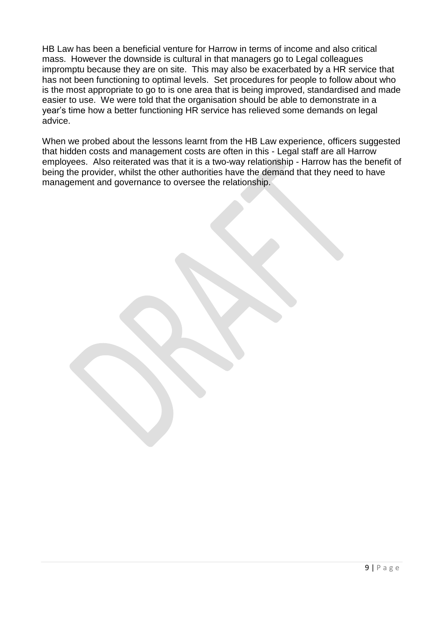HB Law has been a beneficial venture for Harrow in terms of income and also critical mass. However the downside is cultural in that managers go to Legal colleagues impromptu because they are on site. This may also be exacerbated by a HR service that has not been functioning to optimal levels. Set procedures for people to follow about who is the most appropriate to go to is one area that is being improved, standardised and made easier to use. We were told that the organisation should be able to demonstrate in a year's time how a better functioning HR service has relieved some demands on legal advice.

When we probed about the lessons learnt from the HB Law experience, officers suggested that hidden costs and management costs are often in this - Legal staff are all Harrow employees. Also reiterated was that it is a two-way relationship - Harrow has the benefit of being the provider, whilst the other authorities have the demand that they need to have management and governance to oversee the relationship.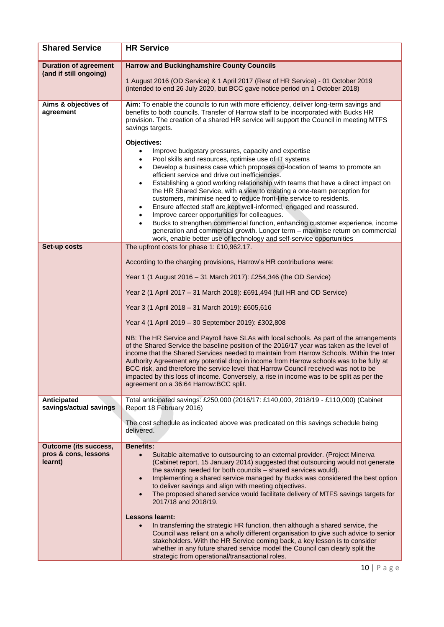| <b>Shared Service</b>                                           | <b>HR Service</b>                                                                                                                                                                                                                                                                                                                                                                                                                                                                                                                                                                                                                                                                                                                                                                                                                                                                                                                                                                             |  |
|-----------------------------------------------------------------|-----------------------------------------------------------------------------------------------------------------------------------------------------------------------------------------------------------------------------------------------------------------------------------------------------------------------------------------------------------------------------------------------------------------------------------------------------------------------------------------------------------------------------------------------------------------------------------------------------------------------------------------------------------------------------------------------------------------------------------------------------------------------------------------------------------------------------------------------------------------------------------------------------------------------------------------------------------------------------------------------|--|
| <b>Duration of agreement</b>                                    | <b>Harrow and Buckinghamshire County Councils</b>                                                                                                                                                                                                                                                                                                                                                                                                                                                                                                                                                                                                                                                                                                                                                                                                                                                                                                                                             |  |
| (and if still ongoing)                                          | 1 August 2016 (OD Service) & 1 April 2017 (Rest of HR Service) - 01 October 2019<br>(intended to end 26 July 2020, but BCC gave notice period on 1 October 2018)                                                                                                                                                                                                                                                                                                                                                                                                                                                                                                                                                                                                                                                                                                                                                                                                                              |  |
| Aims & objectives of<br>agreement                               | Aim: To enable the councils to run with more efficiency, deliver long-term savings and<br>benefits to both councils. Transfer of Harrow staff to be incorporated with Bucks HR<br>provision. The creation of a shared HR service will support the Council in meeting MTFS<br>savings targets.                                                                                                                                                                                                                                                                                                                                                                                                                                                                                                                                                                                                                                                                                                 |  |
|                                                                 | Objectives:<br>Improve budgetary pressures, capacity and expertise<br>$\bullet$<br>Pool skills and resources, optimise use of IT systems<br>$\bullet$<br>Develop a business case which proposes co-location of teams to promote an<br>$\bullet$<br>efficient service and drive out inefficiencies.<br>Establishing a good working relationship with teams that have a direct impact on<br>$\bullet$<br>the HR Shared Service, with a view to creating a one-team perception for<br>customers, minimise need to reduce front-line service to residents.<br>Ensure affected staff are kept well-informed, engaged and reassured.<br>$\bullet$<br>Improve career opportunities for colleagues.<br>$\bullet$<br>Bucks to strengthen commercial function, enhancing customer experience, income<br>$\bullet$<br>generation and commercial growth. Longer term - maximise return on commercial                                                                                                      |  |
|                                                                 | work, enable better use of technology and self-service opportunities                                                                                                                                                                                                                                                                                                                                                                                                                                                                                                                                                                                                                                                                                                                                                                                                                                                                                                                          |  |
| Set-up costs                                                    | The upfront costs for phase 1: £10,962.17.<br>According to the charging provisions, Harrow's HR contributions were:<br>Year 1 (1 August 2016 - 31 March 2017): £254,346 (the OD Service)<br>Year 2 (1 April 2017 - 31 March 2018): £691,494 (full HR and OD Service)<br>Year 3 (1 April 2018 - 31 March 2019): £605,616<br>Year 4 (1 April 2019 - 30 September 2019): £302,808<br>NB: The HR Service and Payroll have SLAs with local schools. As part of the arrangements<br>of the Shared Service the baseline position of the 2016/17 year was taken as the level of<br>income that the Shared Services needed to maintain from Harrow Schools. Within the Inter<br>Authority Agreement any potential drop in income from Harrow schools was to be fully at<br>BCC risk, and therefore the service level that Harrow Council received was not to be<br>impacted by this loss of income. Conversely, a rise in income was to be split as per the<br>agreement on a 36:64 Harrow: BCC split. |  |
| Anticipated<br>savings/actual savings                           | Total anticipated savings: £250,000 (2016/17: £140,000, 2018/19 - £110,000) (Cabinet<br>Report 18 February 2016)<br>The cost schedule as indicated above was predicated on this savings schedule being<br>delivered.                                                                                                                                                                                                                                                                                                                                                                                                                                                                                                                                                                                                                                                                                                                                                                          |  |
| <b>Outcome (its success,</b><br>pros & cons, lessons<br>learnt) | <b>Benefits:</b><br>Suitable alternative to outsourcing to an external provider. (Project Minerva<br>$\bullet$<br>(Cabinet report, 15 January 2014) suggested that outsourcing would not generate<br>the savings needed for both councils - shared services would).<br>Implementing a shared service managed by Bucks was considered the best option<br>$\bullet$<br>to deliver savings and align with meeting objectives.<br>The proposed shared service would facilitate delivery of MTFS savings targets for<br>$\bullet$<br>2017/18 and 2018/19.<br><b>Lessons learnt:</b><br>In transferring the strategic HR function, then although a shared service, the<br>$\bullet$<br>Council was reliant on a wholly different organisation to give such advice to senior<br>stakeholders. With the HR Service coming back, a key lesson is to consider<br>whether in any future shared service model the Council can clearly split the<br>strategic from operational/transactional roles.        |  |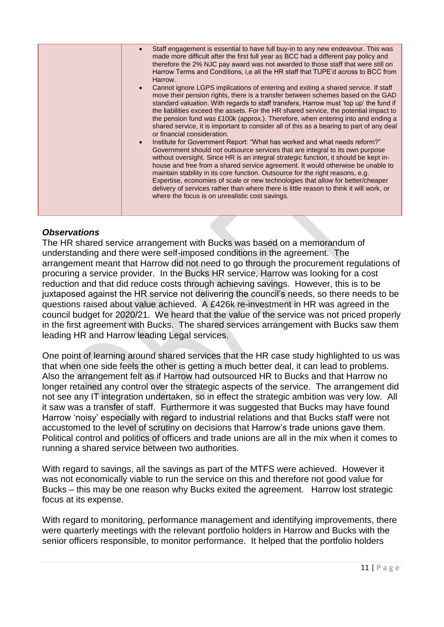| Staff engagement is essential to have full buy-in to any new endeavour. This was<br>made more difficult after the first full year as BCC had a different pay policy and<br>therefore the 2% NJC pay award was not awarded to those staff that were still on<br>Harrow Terms and Conditions, i.e all the HR staff that TUPE'd across to BCC from<br>Harrow.<br>Cannot ignore LGPS implications of entering and exiting a shared service. If staff<br>move their pension rights, there is a transfer between schemes based on the GAD<br>standard valuation. With regards to staff transfers, Harrow must 'top up' the fund if<br>the liabilities exceed the assets. For the HR shared service, the potential impact to<br>the pension fund was £100k (approx.). Therefore, when entering into and ending a<br>shared service, it is important to consider all of this as a bearing to part of any deal<br>or financial consideration.<br>Institute for Government Report: "What has worked and what needs reform?"<br>Government should not outsource services that are integral to its own purpose<br>without oversight. Since HR is an integral strategic function, it should be kept in-<br>house and free from a shared service agreement. It would otherwise be unable to<br>maintain stability in its core function. Outsource for the right reasons, e.g.<br>Expertise, economies of scale or new technologies that allow for better/cheaper<br>delivery of services rather than where there is little reason to think it will work, or<br>where the focus is on unrealistic cost savings. |
|--------------------------------------------------------------------------------------------------------------------------------------------------------------------------------------------------------------------------------------------------------------------------------------------------------------------------------------------------------------------------------------------------------------------------------------------------------------------------------------------------------------------------------------------------------------------------------------------------------------------------------------------------------------------------------------------------------------------------------------------------------------------------------------------------------------------------------------------------------------------------------------------------------------------------------------------------------------------------------------------------------------------------------------------------------------------------------------------------------------------------------------------------------------------------------------------------------------------------------------------------------------------------------------------------------------------------------------------------------------------------------------------------------------------------------------------------------------------------------------------------------------------------------------------------------------------------------------------------|
|                                                                                                                                                                                                                                                                                                                                                                                                                                                                                                                                                                                                                                                                                                                                                                                                                                                                                                                                                                                                                                                                                                                                                                                                                                                                                                                                                                                                                                                                                                                                                                                                  |

The HR shared service arrangement with Bucks was based on a memorandum of understanding and there were self-imposed conditions in the agreement. The arrangement meant that Harrow did not need to go through the procurement regulations of procuring a service provider. In the Bucks HR service, Harrow was looking for a cost reduction and that did reduce costs through achieving savings. However, this is to be juxtaposed against the HR service not delivering the council's needs, so there needs to be questions raised about value achieved. A £426k re-investment in HR was agreed in the council budget for 2020/21. We heard that the value of the service was not priced properly in the first agreement with Bucks. The shared services arrangement with Bucks saw them leading HR and Harrow leading Legal services.

One point of learning around shared services that the HR case study highlighted to us was that when one side feels the other is getting a much better deal, it can lead to problems. Also the arrangement felt as if Harrow had outsourced HR to Bucks and that Harrow no longer retained any control over the strategic aspects of the service. The arrangement did not see any IT integration undertaken, so in effect the strategic ambition was very low. All it saw was a transfer of staff. Furthermore it was suggested that Bucks may have found Harrow 'noisy' especially with regard to industrial relations and that Bucks staff were not accustomed to the level of scrutiny on decisions that Harrow's trade unions gave them. Political control and politics of officers and trade unions are all in the mix when it comes to running a shared service between two authorities.

With regard to savings, all the savings as part of the MTFS were achieved. However it was not economically viable to run the service on this and therefore not good value for Bucks – this may be one reason why Bucks exited the agreement. Harrow lost strategic focus at its expense.

With regard to monitoring, performance management and identifying improvements, there were quarterly meetings with the relevant portfolio holders in Harrow and Bucks with the senior officers responsible, to monitor performance. It helped that the portfolio holders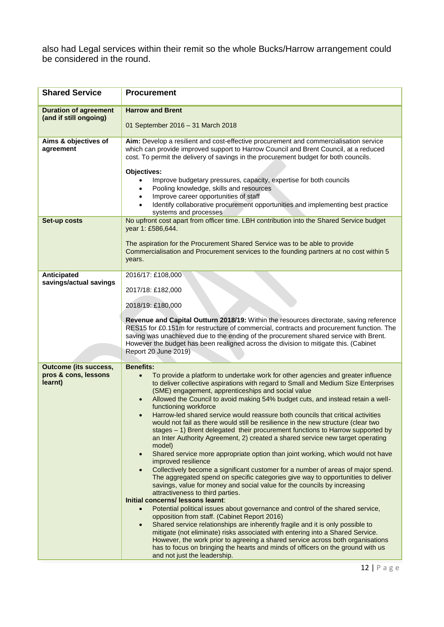also had Legal services within their remit so the whole Bucks/Harrow arrangement could be considered in the round.

| <b>Shared Service</b>                                           | <b>Procurement</b>                                                                                                                                                                                                                                                                                                                                                                                                                                                                                                                                                                                                                                                                                                                                                                                                                                                                                                                                                                                                                                                                                                                                                                                                                                                                                                                                                                                                                                                                                                                                                                                                                                                                                                                    |
|-----------------------------------------------------------------|---------------------------------------------------------------------------------------------------------------------------------------------------------------------------------------------------------------------------------------------------------------------------------------------------------------------------------------------------------------------------------------------------------------------------------------------------------------------------------------------------------------------------------------------------------------------------------------------------------------------------------------------------------------------------------------------------------------------------------------------------------------------------------------------------------------------------------------------------------------------------------------------------------------------------------------------------------------------------------------------------------------------------------------------------------------------------------------------------------------------------------------------------------------------------------------------------------------------------------------------------------------------------------------------------------------------------------------------------------------------------------------------------------------------------------------------------------------------------------------------------------------------------------------------------------------------------------------------------------------------------------------------------------------------------------------------------------------------------------------|
| <b>Duration of agreement</b><br>(and if still ongoing)          | <b>Harrow and Brent</b><br>01 September 2016 - 31 March 2018                                                                                                                                                                                                                                                                                                                                                                                                                                                                                                                                                                                                                                                                                                                                                                                                                                                                                                                                                                                                                                                                                                                                                                                                                                                                                                                                                                                                                                                                                                                                                                                                                                                                          |
| Aims & objectives of<br>agreement                               | Aim: Develop a resilient and cost-effective procurement and commercialisation service<br>which can provide improved support to Harrow Council and Brent Council, at a reduced<br>cost. To permit the delivery of savings in the procurement budget for both councils.<br>Objectives:<br>Improve budgetary pressures, capacity, expertise for both councils<br>$\bullet$<br>Pooling knowledge, skills and resources<br>$\bullet$<br>Improve career opportunities of staff<br>Identify collaborative procurement opportunities and implementing best practice<br>$\bullet$<br>systems and processes                                                                                                                                                                                                                                                                                                                                                                                                                                                                                                                                                                                                                                                                                                                                                                                                                                                                                                                                                                                                                                                                                                                                     |
| Set-up costs                                                    | No upfront cost apart from officer time. LBH contribution into the Shared Service budget<br>year 1: £586,644.<br>The aspiration for the Procurement Shared Service was to be able to provide<br>Commercialisation and Procurement services to the founding partners at no cost within 5<br>years.                                                                                                                                                                                                                                                                                                                                                                                                                                                                                                                                                                                                                                                                                                                                                                                                                                                                                                                                                                                                                                                                                                                                                                                                                                                                                                                                                                                                                                     |
| Anticipated<br>savings/actual savings                           | 2016/17: £108,000<br>2017/18: £182,000<br>2018/19: £180,000<br>Revenue and Capital Outturn 2018/19: Within the resources directorate, saving reference<br>RES15 for £0.151m for restructure of commercial, contracts and procurement function. The<br>saving was unachieved due to the ending of the procurement shared service with Brent.<br>However the budget has been realigned across the division to mitigate this. (Cabinet<br>Report 20 June 2019)                                                                                                                                                                                                                                                                                                                                                                                                                                                                                                                                                                                                                                                                                                                                                                                                                                                                                                                                                                                                                                                                                                                                                                                                                                                                           |
| <b>Outcome (its success,</b><br>pros & cons, lessons<br>learnt) | <b>Benefits:</b><br>To provide a platform to undertake work for other agencies and greater influence<br>$\bullet$<br>to deliver collective aspirations with regard to Small and Medium Size Enterprises<br>(SME) engagement, apprenticeships and social value<br>Allowed the Council to avoid making 54% budget cuts, and instead retain a well-<br>$\bullet$<br>functioning workforce<br>Harrow-led shared service would reassure both councils that critical activities<br>would not fail as there would still be resilience in the new structure (clear two<br>stages - 1) Brent delegated their procurement functions to Harrow supported by<br>an Inter Authority Agreement, 2) created a shared service new target operating<br>model)<br>Shared service more appropriate option than joint working, which would not have<br>$\bullet$<br>improved resilience<br>Collectively become a significant customer for a number of areas of major spend.<br>$\bullet$<br>The aggregated spend on specific categories give way to opportunities to deliver<br>savings, value for money and social value for the councils by increasing<br>attractiveness to third parties.<br>Initial concerns/ lessons learnt:<br>Potential political issues about governance and control of the shared service,<br>opposition from staff. (Cabinet Report 2016)<br>Shared service relationships are inherently fragile and it is only possible to<br>$\bullet$<br>mitigate (not eliminate) risks associated with entering into a Shared Service.<br>However, the work prior to agreeing a shared service across both organisations<br>has to focus on bringing the hearts and minds of officers on the ground with us<br>and not just the leadership. |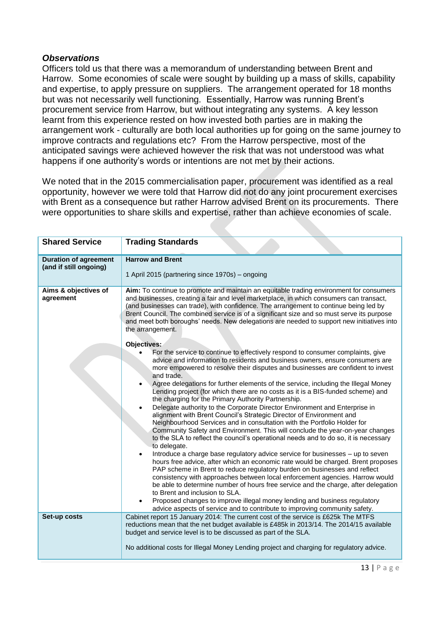Officers told us that there was a memorandum of understanding between Brent and Harrow. Some economies of scale were sought by building up a mass of skills, capability and expertise, to apply pressure on suppliers. The arrangement operated for 18 months but was not necessarily well functioning. Essentially, Harrow was running Brent's procurement service from Harrow, but without integrating any systems. A key lesson learnt from this experience rested on how invested both parties are in making the arrangement work - culturally are both local authorities up for going on the same journey to improve contracts and regulations etc? From the Harrow perspective, most of the anticipated savings were achieved however the risk that was not understood was what happens if one authority's words or intentions are not met by their actions.

We noted that in the 2015 commercialisation paper, procurement was identified as a real opportunity, however we were told that Harrow did not do any joint procurement exercises with Brent as a consequence but rather Harrow advised Brent on its procurements. There were opportunities to share skills and expertise, rather than achieve economies of scale.

| <b>Shared Service</b>                                  | <b>Trading Standards</b>                                                                                                                                                                                                                                                                                                                                                                                                                                                                                                                                                                                                                                                                                                                                                                                                                                                                                                                                                                                                                                                                                                                                                                                                                                                                                                                                                                                                                                                                                                                                                |  |
|--------------------------------------------------------|-------------------------------------------------------------------------------------------------------------------------------------------------------------------------------------------------------------------------------------------------------------------------------------------------------------------------------------------------------------------------------------------------------------------------------------------------------------------------------------------------------------------------------------------------------------------------------------------------------------------------------------------------------------------------------------------------------------------------------------------------------------------------------------------------------------------------------------------------------------------------------------------------------------------------------------------------------------------------------------------------------------------------------------------------------------------------------------------------------------------------------------------------------------------------------------------------------------------------------------------------------------------------------------------------------------------------------------------------------------------------------------------------------------------------------------------------------------------------------------------------------------------------------------------------------------------------|--|
| <b>Duration of agreement</b><br>(and if still ongoing) | <b>Harrow and Brent</b><br>1 April 2015 (partnering since 1970s) - ongoing                                                                                                                                                                                                                                                                                                                                                                                                                                                                                                                                                                                                                                                                                                                                                                                                                                                                                                                                                                                                                                                                                                                                                                                                                                                                                                                                                                                                                                                                                              |  |
| Aims & objectives of<br>agreement                      | Aim: To continue to promote and maintain an equitable trading environment for consumers<br>and businesses, creating a fair and level marketplace, in which consumers can transact,<br>(and businesses can trade), with confidence. The arrangement to continue being led by<br>Brent Council. The combined service is of a significant size and so must serve its purpose<br>and meet both boroughs' needs. New delegations are needed to support new initiatives into<br>the arrangement.                                                                                                                                                                                                                                                                                                                                                                                                                                                                                                                                                                                                                                                                                                                                                                                                                                                                                                                                                                                                                                                                              |  |
|                                                        | <b>Objectives:</b><br>For the service to continue to effectively respond to consumer complaints, give<br>advice and information to residents and business owners, ensure consumers are<br>more empowered to resolve their disputes and businesses are confident to invest<br>and trade.<br>Agree delegations for further elements of the service, including the Illegal Money<br>Lending project (for which there are no costs as it is a BIS-funded scheme) and<br>the charging for the Primary Authority Partnership.<br>Delegate authority to the Corporate Director Environment and Enterprise in<br>alignment with Brent Council's Strategic Director of Environment and<br>Neighbourhood Services and in consultation with the Portfolio Holder for<br>Community Safety and Environment. This will conclude the year-on-year changes<br>to the SLA to reflect the council's operational needs and to do so, it is necessary<br>to delegate.<br>Introduce a charge base regulatory advice service for businesses - up to seven<br>hours free advice, after which an economic rate would be charged. Brent proposes<br>PAP scheme in Brent to reduce regulatory burden on businesses and reflect<br>consistency with approaches between local enforcement agencies. Harrow would<br>be able to determine number of hours free service and the charge, after delegation<br>to Brent and inclusion to SLA.<br>Proposed changes to improve illegal money lending and business regulatory<br>advice aspects of service and to contribute to improving community safety. |  |
| Set-up costs                                           | Cabinet report 15 January 2014: The current cost of the service is £625k The MTFS<br>reductions mean that the net budget available is £485k in 2013/14. The 2014/15 available<br>budget and service level is to be discussed as part of the SLA.<br>No additional costs for Illegal Money Lending project and charging for regulatory advice.                                                                                                                                                                                                                                                                                                                                                                                                                                                                                                                                                                                                                                                                                                                                                                                                                                                                                                                                                                                                                                                                                                                                                                                                                           |  |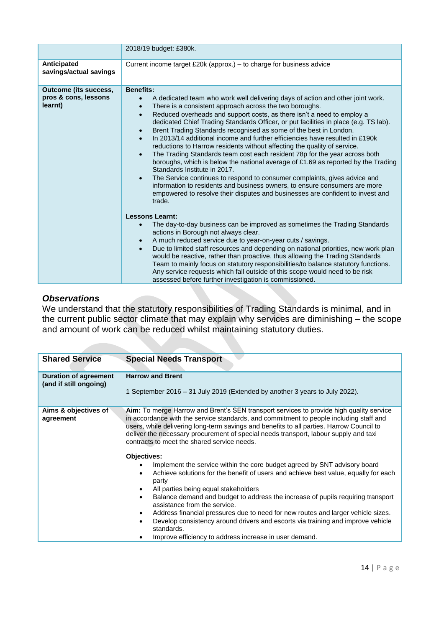|                                                                 | 2018/19 budget: £380k.                                                                                                                                                                                                                                                                                                                                                                                                                                                                                                                                                                                                                                                                                                                                                                                                                                                                                                                                                                                                                                                                                                                                                                                                                                                                                                                                                                                                                                                                                                                                                                                                                                                                             |  |
|-----------------------------------------------------------------|----------------------------------------------------------------------------------------------------------------------------------------------------------------------------------------------------------------------------------------------------------------------------------------------------------------------------------------------------------------------------------------------------------------------------------------------------------------------------------------------------------------------------------------------------------------------------------------------------------------------------------------------------------------------------------------------------------------------------------------------------------------------------------------------------------------------------------------------------------------------------------------------------------------------------------------------------------------------------------------------------------------------------------------------------------------------------------------------------------------------------------------------------------------------------------------------------------------------------------------------------------------------------------------------------------------------------------------------------------------------------------------------------------------------------------------------------------------------------------------------------------------------------------------------------------------------------------------------------------------------------------------------------------------------------------------------------|--|
| Anticipated<br>savings/actual savings                           | Current income target £20k (approx.) - to charge for business advice                                                                                                                                                                                                                                                                                                                                                                                                                                                                                                                                                                                                                                                                                                                                                                                                                                                                                                                                                                                                                                                                                                                                                                                                                                                                                                                                                                                                                                                                                                                                                                                                                               |  |
| <b>Outcome (its success,</b><br>pros & cons, lessons<br>learnt) | <b>Benefits:</b><br>A dedicated team who work well delivering days of action and other joint work.<br>There is a consistent approach across the two boroughs.<br>$\bullet$<br>Reduced overheads and support costs, as there isn't a need to employ a<br>$\bullet$<br>dedicated Chief Trading Standards Officer, or put facilities in place (e.g. TS lab).<br>Brent Trading Standards recognised as some of the best in London.<br>In 2013/14 additional income and further efficiencies have resulted in £190k<br>reductions to Harrow residents without affecting the quality of service.<br>The Trading Standards team cost each resident 78p for the year across both<br>boroughs, which is below the national average of £1.69 as reported by the Trading<br>Standards Institute in 2017.<br>The Service continues to respond to consumer complaints, gives advice and<br>$\bullet$<br>information to residents and business owners, to ensure consumers are more<br>empowered to resolve their disputes and businesses are confident to invest and<br>trade.<br><b>Lessons Learnt:</b><br>The day-to-day business can be improved as sometimes the Trading Standards<br>actions in Borough not always clear.<br>A much reduced service due to year-on-year cuts / savings.<br>$\bullet$<br>Due to limited staff resources and depending on national priorities, new work plan<br>would be reactive, rather than proactive, thus allowing the Trading Standards<br>Team to mainly focus on statutory responsibilities/to balance statutory functions.<br>Any service requests which fall outside of this scope would need to be risk<br>assessed before further investigation is commissioned. |  |

We understand that the statutory responsibilities of Trading Standards is minimal, and in the current public sector climate that may explain why services are diminishing – the scope and amount of work can be reduced whilst maintaining statutory duties.

| <b>Shared Service</b>                                  | <b>Special Needs Transport</b>                                                                                                                                                                                                                                                                                                                                                                                                                                                                                                                                                                                                                                                                                                                                                                                                                                                                                                                                                                                             |
|--------------------------------------------------------|----------------------------------------------------------------------------------------------------------------------------------------------------------------------------------------------------------------------------------------------------------------------------------------------------------------------------------------------------------------------------------------------------------------------------------------------------------------------------------------------------------------------------------------------------------------------------------------------------------------------------------------------------------------------------------------------------------------------------------------------------------------------------------------------------------------------------------------------------------------------------------------------------------------------------------------------------------------------------------------------------------------------------|
| <b>Duration of agreement</b><br>(and if still ongoing) | <b>Harrow and Brent</b><br>1 September 2016 – 31 July 2019 (Extended by another 3 years to July 2022).                                                                                                                                                                                                                                                                                                                                                                                                                                                                                                                                                                                                                                                                                                                                                                                                                                                                                                                     |
| Aims & objectives of<br>agreement                      | Aim: To merge Harrow and Brent's SEN transport services to provide high quality service<br>in accordance with the service standards, and commitment to people including staff and<br>users, while delivering long-term savings and benefits to all parties. Harrow Council to<br>deliver the necessary procurement of special needs transport, labour supply and taxi<br>contracts to meet the shared service needs.<br>Objectives:<br>Implement the service within the core budget agreed by SNT advisory board<br>Achieve solutions for the benefit of users and achieve best value, equally for each<br>party<br>All parties being equal stakeholders<br>Balance demand and budget to address the increase of pupils requiring transport<br>assistance from the service.<br>Address financial pressures due to need for new routes and larger vehicle sizes.<br>Develop consistency around drivers and escorts via training and improve vehicle<br>standards.<br>Improve efficiency to address increase in user demand. |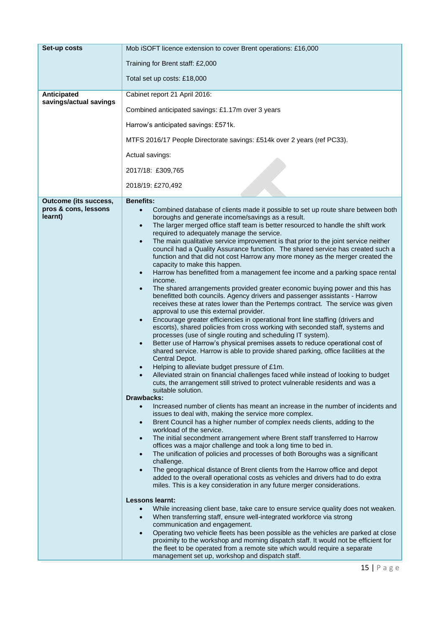| Set-up costs                          | Mob iSOFT licence extension to cover Brent operations: £16,000                                                                                                                                                                                                                                       |  |
|---------------------------------------|------------------------------------------------------------------------------------------------------------------------------------------------------------------------------------------------------------------------------------------------------------------------------------------------------|--|
|                                       | Training for Brent staff: £2,000                                                                                                                                                                                                                                                                     |  |
|                                       | Total set up costs: £18,000                                                                                                                                                                                                                                                                          |  |
| Anticipated<br>savings/actual savings | Cabinet report 21 April 2016:                                                                                                                                                                                                                                                                        |  |
|                                       | Combined anticipated savings: £1.17m over 3 years                                                                                                                                                                                                                                                    |  |
|                                       | Harrow's anticipated savings: £571k.                                                                                                                                                                                                                                                                 |  |
|                                       | MTFS 2016/17 People Directorate savings: £514k over 2 years (ref PC33).                                                                                                                                                                                                                              |  |
|                                       | Actual savings:                                                                                                                                                                                                                                                                                      |  |
|                                       | 2017/18: £309,765                                                                                                                                                                                                                                                                                    |  |
|                                       | 2018/19: £270,492                                                                                                                                                                                                                                                                                    |  |
| <b>Outcome (its success,</b>          | <b>Benefits:</b>                                                                                                                                                                                                                                                                                     |  |
| pros & cons, lessons<br>learnt)       | Combined database of clients made it possible to set up route share between both<br>$\bullet$<br>boroughs and generate income/savings as a result.                                                                                                                                                   |  |
|                                       | The larger merged office staff team is better resourced to handle the shift work<br>$\bullet$<br>required to adequately manage the service.                                                                                                                                                          |  |
|                                       | The main qualitative service improvement is that prior to the joint service neither<br>council had a Quality Assurance function. The shared service has created such a<br>function and that did not cost Harrow any more money as the merger created the<br>capacity to make this happen.            |  |
|                                       | Harrow has benefitted from a management fee income and a parking space rental<br>income.                                                                                                                                                                                                             |  |
|                                       | The shared arrangements provided greater economic buying power and this has<br>$\bullet$<br>benefitted both councils. Agency drivers and passenger assistants - Harrow<br>receives these at rates lower than the Pertemps contract. The service was given<br>approval to use this external provider. |  |
|                                       | Encourage greater efficiencies in operational front line staffing (drivers and<br>$\bullet$<br>escorts), shared policies from cross working with seconded staff, systems and<br>processes (use of single routing and scheduling IT system).                                                          |  |
|                                       | Better use of Harrow's physical premises assets to reduce operational cost of<br>shared service. Harrow is able to provide shared parking, office facilities at the<br>Central Depot.                                                                                                                |  |
|                                       | Helping to alleviate budget pressure of £1m.<br>Alleviated strain on financial challenges faced while instead of looking to budget                                                                                                                                                                   |  |
|                                       | cuts, the arrangement still strived to protect vulnerable residents and was a<br>suitable solution.                                                                                                                                                                                                  |  |
|                                       | <b>Drawbacks:</b>                                                                                                                                                                                                                                                                                    |  |
|                                       | Increased number of clients has meant an increase in the number of incidents and<br>$\bullet$<br>issues to deal with, making the service more complex.<br>Brent Council has a higher number of complex needs clients, adding to the                                                                  |  |
|                                       | $\bullet$<br>workload of the service.                                                                                                                                                                                                                                                                |  |
|                                       | The initial secondment arrangement where Brent staff transferred to Harrow<br>$\bullet$<br>offices was a major challenge and took a long time to bed in.                                                                                                                                             |  |
|                                       | The unification of policies and processes of both Boroughs was a significant<br>$\bullet$<br>challenge.                                                                                                                                                                                              |  |
|                                       | The geographical distance of Brent clients from the Harrow office and depot<br>$\bullet$<br>added to the overall operational costs as vehicles and drivers had to do extra<br>miles. This is a key consideration in any future merger considerations.                                                |  |
|                                       | <b>Lessons learnt:</b>                                                                                                                                                                                                                                                                               |  |
|                                       | While increasing client base, take care to ensure service quality does not weaken.<br>$\bullet$<br>When transferring staff, ensure well-integrated workforce via strong<br>$\bullet$                                                                                                                 |  |
|                                       | communication and engagement.<br>Operating two vehicle fleets has been possible as the vehicles are parked at close<br>$\bullet$                                                                                                                                                                     |  |
|                                       | proximity to the workshop and morning dispatch staff. It would not be efficient for<br>the fleet to be operated from a remote site which would require a separate<br>management set up, workshop and dispatch staff.                                                                                 |  |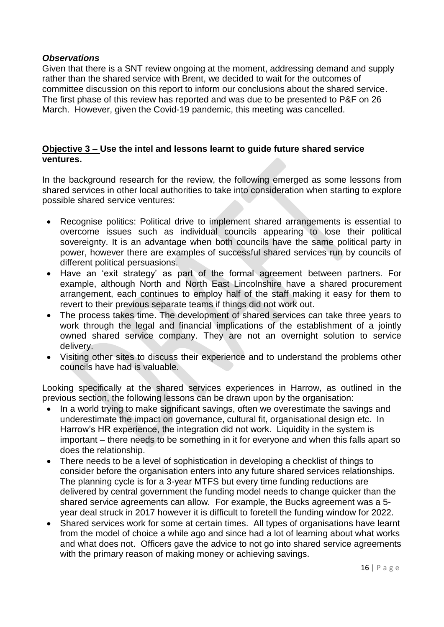Given that there is a SNT review ongoing at the moment, addressing demand and supply rather than the shared service with Brent, we decided to wait for the outcomes of committee discussion on this report to inform our conclusions about the shared service. The first phase of this review has reported and was due to be presented to P&F on 26 March. However, given the Covid-19 pandemic, this meeting was cancelled.

#### **Objective 3 – Use the intel and lessons learnt to guide future shared service ventures.**

In the background research for the review, the following emerged as some lessons from shared services in other local authorities to take into consideration when starting to explore possible shared service ventures:

- Recognise politics: Political drive to implement shared arrangements is essential to overcome issues such as individual councils appearing to lose their political sovereignty. It is an advantage when both councils have the same political party in power, however there are examples of successful shared services run by councils of different political persuasions.
- Have an 'exit strategy' as part of the formal agreement between partners. For example, although North and North East Lincolnshire have a shared procurement arrangement, each continues to employ half of the staff making it easy for them to revert to their previous separate teams if things did not work out.
- The process takes time. The development of shared services can take three years to work through the legal and financial implications of the establishment of a jointly owned shared service company. They are not an overnight solution to service delivery.
- Visiting other sites to discuss their experience and to understand the problems other councils have had is valuable.

Looking specifically at the shared services experiences in Harrow, as outlined in the previous section, the following lessons can be drawn upon by the organisation:

- In a world trying to make significant savings, often we overestimate the savings and underestimate the impact on governance, cultural fit, organisational design etc. In Harrow's HR experience, the integration did not work. Liquidity in the system is important – there needs to be something in it for everyone and when this falls apart so does the relationship.
- There needs to be a level of sophistication in developing a checklist of things to consider before the organisation enters into any future shared services relationships. The planning cycle is for a 3-year MTFS but every time funding reductions are delivered by central government the funding model needs to change quicker than the shared service agreements can allow. For example, the Bucks agreement was a 5 year deal struck in 2017 however it is difficult to foretell the funding window for 2022.
- Shared services work for some at certain times. All types of organisations have learnt from the model of choice a while ago and since had a lot of learning about what works and what does not. Officers gave the advice to not go into shared service agreements with the primary reason of making money or achieving savings.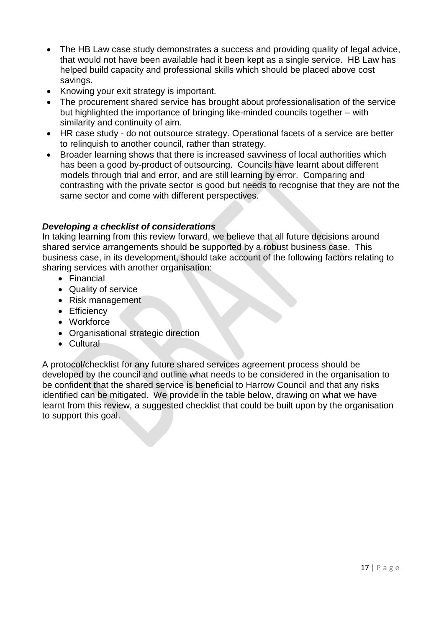- The HB Law case study demonstrates a success and providing quality of legal advice, that would not have been available had it been kept as a single service. HB Law has helped build capacity and professional skills which should be placed above cost savings.
- Knowing your exit strategy is important.
- The procurement shared service has brought about professionalisation of the service but highlighted the importance of bringing like-minded councils together – with similarity and continuity of aim.
- HR case study do not outsource strategy. Operational facets of a service are better to relinquish to another council, rather than strategy.
- Broader learning shows that there is increased say viness of local authorities which has been a good by-product of outsourcing. Councils have learnt about different models through trial and error, and are still learning by error. Comparing and contrasting with the private sector is good but needs to recognise that they are not the same sector and come with different perspectives.

#### *Developing a checklist of considerations*

In taking learning from this review forward, we believe that all future decisions around shared service arrangements should be supported by a robust business case. This business case, in its development, should take account of the following factors relating to sharing services with another organisation:

- Financial
- Quality of service
- Risk management
- Efficiency
- Workforce
- Organisational strategic direction
- Cultural

A protocol/checklist for any future shared services agreement process should be developed by the council and outline what needs to be considered in the organisation to be confident that the shared service is beneficial to Harrow Council and that any risks identified can be mitigated. We provide in the table below, drawing on what we have learnt from this review, a suggested checklist that could be built upon by the organisation to support this goal.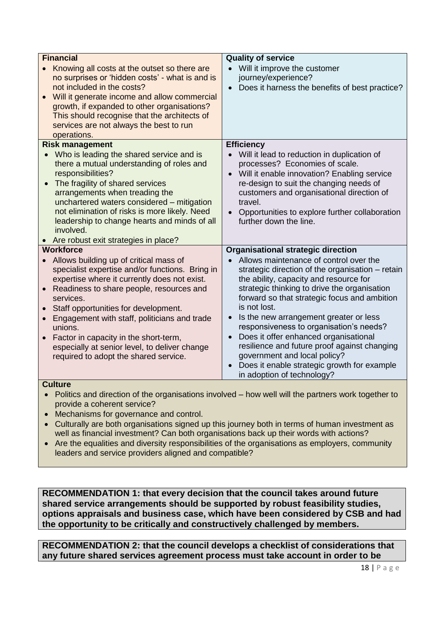| <b>Financial</b>                                                                                    | <b>Quality of service</b>                                                                           |
|-----------------------------------------------------------------------------------------------------|-----------------------------------------------------------------------------------------------------|
| Knowing all costs at the outset so there are<br>$\bullet$                                           | • Will it improve the customer                                                                      |
| no surprises or 'hidden costs' - what is and is                                                     | journey/experience?                                                                                 |
| not included in the costs?                                                                          | Does it harness the benefits of best practice?<br>$\bullet$                                         |
| Will it generate income and allow commercial                                                        |                                                                                                     |
| growth, if expanded to other organisations?                                                         |                                                                                                     |
| This should recognise that the architects of                                                        |                                                                                                     |
| services are not always the best to run                                                             |                                                                                                     |
| operations.                                                                                         |                                                                                                     |
| <b>Risk management</b>                                                                              | <b>Efficiency</b>                                                                                   |
| Who is leading the shared service and is                                                            | Will it lead to reduction in duplication of                                                         |
| there a mutual understanding of roles and<br>responsibilities?                                      | processes? Economies of scale.                                                                      |
|                                                                                                     | Will it enable innovation? Enabling service<br>$\bullet$<br>re-design to suit the changing needs of |
| The fragility of shared services<br>arrangements when treading the                                  | customers and organisational direction of                                                           |
| unchartered waters considered - mitigation                                                          | travel.                                                                                             |
| not elimination of risks is more likely. Need                                                       | Opportunities to explore further collaboration<br>$\bullet$                                         |
| leadership to change hearts and minds of all                                                        | further down the line.                                                                              |
| involved.                                                                                           |                                                                                                     |
| • Are robust exit strategies in place?                                                              |                                                                                                     |
| <b>Workforce</b>                                                                                    | <b>Organisational strategic direction</b>                                                           |
| Allows building up of critical mass of<br>$\bullet$                                                 | Allows maintenance of control over the<br>$\bullet$                                                 |
| specialist expertise and/or functions. Bring in                                                     | strategic direction of the organisation - retain                                                    |
| expertise where it currently does not exist.                                                        | the ability, capacity and resource for                                                              |
| Readiness to share people, resources and                                                            | strategic thinking to drive the organisation                                                        |
| services.                                                                                           | forward so that strategic focus and ambition                                                        |
| Staff opportunities for development.                                                                | is not lost.                                                                                        |
| Engagement with staff, politicians and trade                                                        | Is the new arrangement greater or less<br>$\bullet$                                                 |
| unions.                                                                                             | responsiveness to organisation's needs?<br>Does it offer enhanced organisational                    |
| Factor in capacity in the short-term,<br>$\bullet$<br>especially at senior level, to deliver change | $\bullet$<br>resilience and future proof against changing                                           |
| required to adopt the shared service.                                                               | government and local policy?                                                                        |
|                                                                                                     | Does it enable strategic growth for example<br>$\bullet$                                            |
|                                                                                                     | in adoption of technology?                                                                          |
| <b>Culture</b>                                                                                      |                                                                                                     |
|                                                                                                     | Delition and direction of the examinations involved thou wall will the pertaera werk tegether to    |

- Politics and direction of the organisations involved how well will the partners work together to provide a coherent service?
- Mechanisms for governance and control.
- Culturally are both organisations signed up this journey both in terms of human investment as well as financial investment? Can both organisations back up their words with actions?
- Are the equalities and diversity responsibilities of the organisations as employers, community leaders and service providers aligned and compatible?

**RECOMMENDATION 1: that every decision that the council takes around future shared service arrangements should be supported by robust feasibility studies, options appraisals and business case, which have been considered by CSB and had the opportunity to be critically and constructively challenged by members.**

**RECOMMENDATION 2: that the council develops a checklist of considerations that any future shared services agreement process must take account in order to be**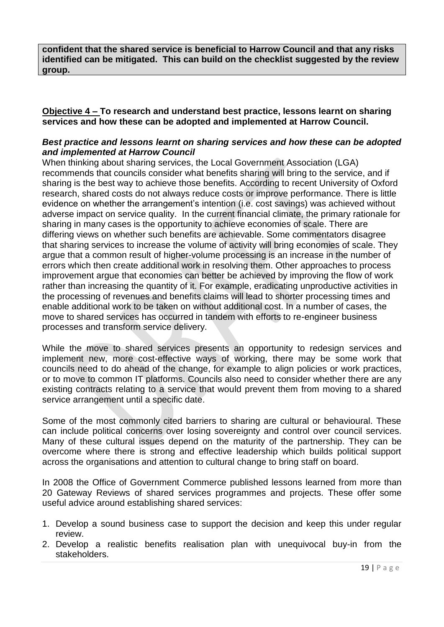**confident that the shared service is beneficial to Harrow Council and that any risks identified can be mitigated. This can build on the checklist suggested by the review group.**

#### **Objective 4 – To research and understand best practice, lessons learnt on sharing services and how these can be adopted and implemented at Harrow Council.**

#### *Best practice and lessons learnt on sharing services and how these can be adopted and implemented at Harrow Council*

When thinking about sharing services, the Local Government Association (LGA) recommends that councils consider what benefits sharing will bring to the service, and if sharing is the best way to achieve those benefits. According to recent University of Oxford research, shared costs do not always reduce costs or improve performance. There is little evidence on whether the arrangement's intention (i.e. cost savings) was achieved without adverse impact on service quality. In the current financial climate, the primary rationale for sharing in many cases is the opportunity to achieve economies of scale. There are differing views on whether such benefits are achievable. Some commentators disagree that sharing services to increase the volume of activity will bring economies of scale. They argue that a common result of higher-volume processing is an increase in the number of errors which then create additional work in resolving them. Other approaches to process improvement argue that economies can better be achieved by improving the flow of work rather than increasing the quantity of it. For example, eradicating unproductive activities in the processing of revenues and benefits claims will lead to shorter processing times and enable additional work to be taken on without additional cost. In a number of cases, the move to shared services has occurred in tandem with efforts to re-engineer business processes and transform service delivery.

While the move to shared services presents an opportunity to redesign services and implement new, more cost-effective ways of working, there may be some work that councils need to do ahead of the change, for example to align policies or work practices, or to move to common IT platforms. Councils also need to consider whether there are any existing contracts relating to a service that would prevent them from moving to a shared service arrangement until a specific date.

Some of the most commonly cited barriers to sharing are cultural or behavioural. These can include political concerns over losing sovereignty and control over council services. Many of these cultural issues depend on the maturity of the partnership. They can be overcome where there is strong and effective leadership which builds political support across the organisations and attention to cultural change to bring staff on board.

In 2008 the Office of Government Commerce published lessons learned from more than 20 Gateway Reviews of shared services programmes and projects. These offer some useful advice around establishing shared services:

- 1. Develop a sound business case to support the decision and keep this under regular review.
- 2. Develop a realistic benefits realisation plan with unequivocal buy-in from the stakeholders.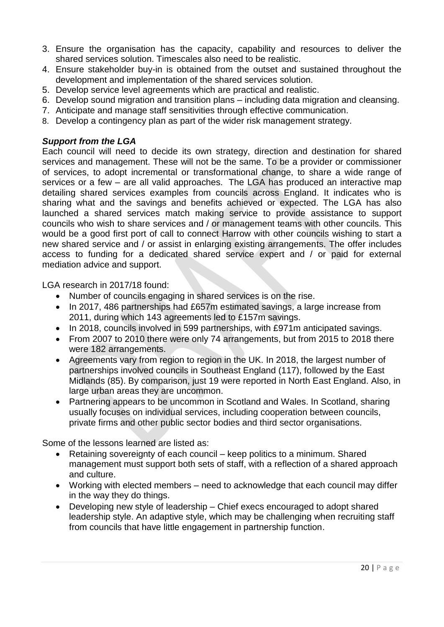- 3. Ensure the organisation has the capacity, capability and resources to deliver the shared services solution. Timescales also need to be realistic.
- 4. Ensure stakeholder buy-in is obtained from the outset and sustained throughout the development and implementation of the shared services solution.
- 5. Develop service level agreements which are practical and realistic.
- 6. Develop sound migration and transition plans including data migration and cleansing.
- 7. Anticipate and manage staff sensitivities through effective communication.
- 8. Develop a contingency plan as part of the wider risk management strategy.

#### *Support from the LGA*

Each council will need to decide its own strategy, direction and destination for shared services and management. These will not be the same. To be a provider or commissioner of services, to adopt incremental or transformational change, to share a wide range of services or a few – are all valid approaches. The LGA has produced an interactive map detailing shared services examples from councils across England. It indicates who is sharing what and the savings and benefits achieved or expected. The LGA has also launched a shared services match making service to provide assistance to support councils who wish to share services and / or management teams with other councils. This would be a good first port of call to connect Harrow with other councils wishing to start a new shared service and / or assist in enlarging existing arrangements. The offer includes access to funding for a dedicated shared service expert and / or paid for external mediation advice and support.

LGA research in 2017/18 found:

- Number of councils engaging in shared services is on the rise.
- In 2017, 486 partnerships had £657m estimated savings, a large increase from 2011, during which 143 agreements led to £157m savings.
- In 2018, councils involved in 599 partnerships, with £971m anticipated savings.
- From 2007 to 2010 there were only 74 arrangements, but from 2015 to 2018 there were 182 arrangements.
- Agreements vary from region to region in the UK. In 2018, the largest number of partnerships involved councils in Southeast England (117), followed by the East Midlands (85). By comparison, just 19 were reported in North East England. Also, in large urban areas they are uncommon.
- Partnering appears to be uncommon in Scotland and Wales. In Scotland, sharing usually focuses on individual services, including cooperation between councils, private firms and other public sector bodies and third sector organisations.

Some of the lessons learned are listed as:

- Retaining sovereignty of each council keep politics to a minimum. Shared management must support both sets of staff, with a reflection of a shared approach and culture.
- Working with elected members need to acknowledge that each council may differ in the way they do things.
- Developing new style of leadership Chief execs encouraged to adopt shared leadership style. An adaptive style, which may be challenging when recruiting staff from councils that have little engagement in partnership function.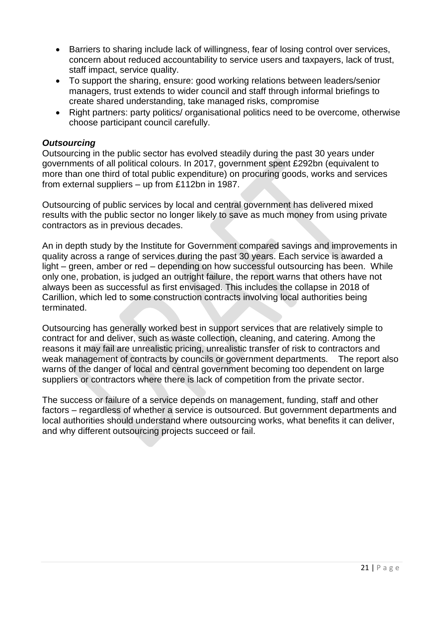- Barriers to sharing include lack of willingness, fear of losing control over services, concern about reduced accountability to service users and taxpayers, lack of trust, staff impact, service quality.
- To support the sharing, ensure: good working relations between leaders/senior managers, trust extends to wider council and staff through informal briefings to create shared understanding, take managed risks, compromise
- Right partners: party politics/ organisational politics need to be overcome, otherwise choose participant council carefully.

#### *Outsourcing*

Outsourcing in the public sector has evolved steadily during the past 30 years under governments of all political colours. In 2017, government spent £292bn (equivalent to more than one third of total public expenditure) on procuring goods, works and services from external suppliers – up from £112bn in 1987.

Outsourcing of public services by local and central government has delivered mixed results with the public sector no longer likely to save as much money from using private contractors as in previous decades.

An in depth study by the Institute for Government compared savings and improvements in quality across a range of services during the past 30 years. Each service is awarded a light – green, amber or red – depending on how successful outsourcing has been. While only one, probation, is judged an outright failure, the report warns that others have not always been as successful as first envisaged. This includes the collapse in 2018 of Carillion, which led to some construction contracts involving local authorities being terminated.

Outsourcing has generally worked best in support services that are relatively simple to contract for and deliver, such as waste collection, cleaning, and catering. Among the reasons it may fail are unrealistic pricing, unrealistic transfer of risk to contractors and weak management of contracts by councils or government departments. The report also warns of the danger of local and central government becoming too dependent on large suppliers or contractors where there is lack of competition from the private sector.

The success or failure of a service depends on management, funding, staff and other factors – regardless of whether a service is outsourced. But government departments and local authorities should understand where outsourcing works, what benefits it can deliver, and why different outsourcing projects succeed or fail.